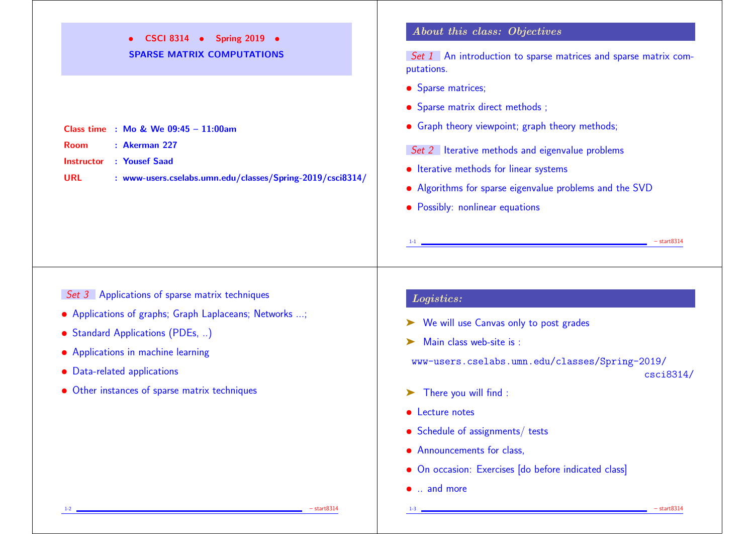• CSCI 8314 • Spring 2019 • SPARSE MATRIX COMPUTATIONS

|             | <b>Class time</b> : Mo & We $09:45 - 11:00$ am |
|-------------|------------------------------------------------|
| <b>Room</b> | $\therefore$ Akerman 227                       |
|             | <b>Instructor : Yousef Saad</b>                |

URL : www-users.cselabs.umn.edu/classes/Spring-2019/csci8314/

# About this class: Objectives

Set 1 An introduction to sparse matrices and sparse matrix computations.

- Sparse matrices;
- Sparse matrix direct methods;
- Graph theory viewpoint; graph theory methods;

Set 2 Iterative methods and eigenvalue problems

- Iterative methods for linear systems
- Algorithms for sparse eigenvalue problems and the SVD
- Possibly: nonlinear equations

Set 3 Applications of sparse matrix techniques

- Applications of graphs; Graph Laplaceans; Networks ...;
- Standard Applications (PDEs, ..)
- Applications in machine learning
- Data-related applications
- Other instances of sparse matrix techniques

# Logistics:

➤ We will use Canvas only to post grades

Main class web-site is :

www-users.cselabs.umn.edu/classes/Spring-2019/

1-1 – start8314

csci8314/

- ➤ There you will find :
- **•** Lecture notes
- Schedule of assignments/ tests
- Announcements for class.
- On occasion: Exercises [do before indicated class]
- .. and more

1-2 – start8314 – start8314

1-3 – start8314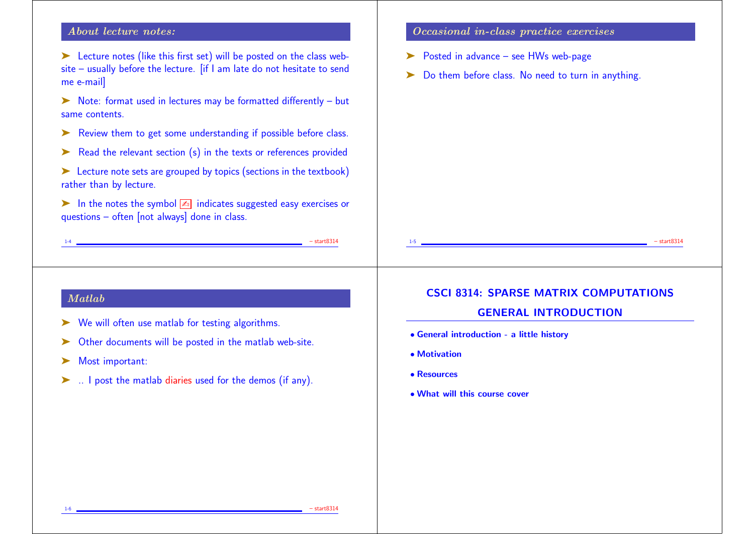### About lecture notes:

➤ Lecture notes (like this first set) will be posted on the class website – usually before the lecture. [if I am late do not hesitate to send me e-mail]

➤ Note: format used in lectures may be formatted differently – but same contents.

- ► Review them to get some understanding if possible before class.
- ► Read the relevant section (s) in the texts or references provided
- ► Lecture note sets are grouped by topics (sections in the textbook) rather than by lecture.
- ightharpoonup In the notes the symbol  $\boxed{4}$  indicates suggested easy exercises or questions – often [not always] done in class.

 $-$  start8314

#### Occasional in-class practice exercises

- ➤ Posted in advance see HWs web-page
- ► Do them before class. No need to turn in anything.

## Matlab

- ➤ We will often use matlab for testing algorithms.
- ➤ Other documents will be posted in the matlab web-site.
- ➤ Most important:
- ➤ .. I post the matlab diaries used for the demos (if any).

## CSCI 8314: SPARSE MATRIX COMPUTATIONS

1-5 – start8314

## GENERAL INTRODUCTION

- General introduction a little history
- Motivation
- Resources
- What will this course cover

1-6 – start8314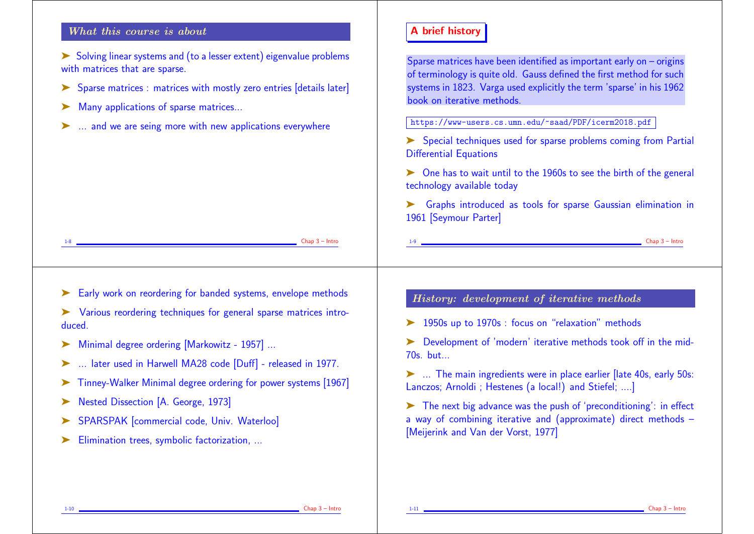### What this course is about

- ➤ Solving linear systems and (to a lesser extent) eigenvalue problems with matrices that are sparse.
- ➤ Sparse matrices : matrices with mostly zero entries [details later]
- ▶ Many applications of sparse matrices...
- ... and we are seing more with new applications everywhere

# A brief history

Sparse matrices have been identified as important early on – origins of terminology is quite old. Gauss defined the first method for such systems in 1823. Varga used explicitly the term 'sparse' in his 1962 book on iterative methods.

https://www-users.cs.umn.edu/~saad/PDF/icerm2018.pdf

➤ Special techniques used for sparse problems coming from Partial Differential Equations

➤ One has to wait until to the 1960s to see the birth of the general technology available today

➤ Graphs introduced as tools for sparse Gaussian elimination in 1961 [Seymour Parter]

1-9 Chap 3 – Intro

Early work on reordering for banded systems, envelope methods

➤ Various reordering techniques for general sparse matrices introduced.

- ➤ Minimal degree ordering [Markowitz 1957] ...
- ➤ ... later used in Harwell MA28 code [Duff] released in 1977.
- ➤ Tinney-Walker Minimal degree ordering for power systems [1967]
- ➤ Nested Dissection [A. George, 1973]
- ▶ SPARSPAK [commercial code, Univ. Waterloo]
- ▶ Elimination trees, symbolic factorization, ...

### History: development of iterative methods

➤ 1950s up to 1970s : focus on "relaxation" methods

➤ Development of 'modern' iterative methods took off in the mid-70s. but...

➤ ... The main ingredients were in place earlier [late 40s, early 50s: Lanczos; Arnoldi ; Hestenes (a local!) and Stiefel; ....]

➤ The next big advance was the push of 'preconditioning': in effect a way of combining iterative and (approximate) direct methods – [Meijerink and Van der Vorst, 1977]

 $\Box$  Chap  $3$  – Intro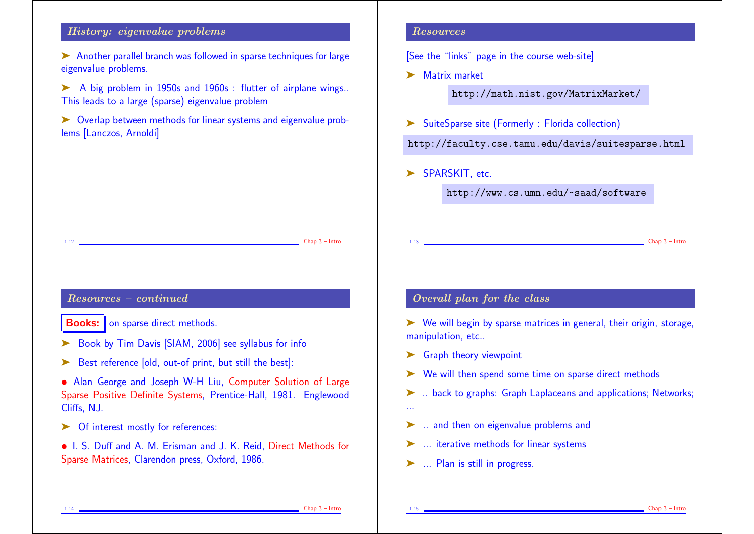# History: eigenvalue problems

- ➤ Another parallel branch was followed in sparse techniques for large eigenvalue problems.
- ➤ A big problem in 1950s and 1960s : flutter of airplane wings.. This leads to a large (sparse) eigenvalue problem
- ► Overlap between methods for linear systems and eigenvalue problems [Lanczos, Arnoldi]

## Resources

[See the "links" page in the course web-site]

➤ Matrix market

http://math.nist.gov/MatrixMarket/

➤ SuiteSparse site (Formerly : Florida collection)

http://faculty.cse.tamu.edu/davis/suitesparse.html

▶ SPARSKIT, etc.

http://www.cs.umn.edu/~saad/software

| $Chap 3 - Intro$                                                  | $Chap 3 - Intrc$                                                                     |
|-------------------------------------------------------------------|--------------------------------------------------------------------------------------|
| $1 - 12$                                                          |                                                                                      |
| $Resources - continued$                                           | Overall plan for the class                                                           |
| <b>Books:</b> on sparse direct methods.                           | $\triangleright$ We will begin by sparse matrices in general, their origin, storage, |
| Book by Tim Davis [SIAM, 2006] see syllabus for info              | manipulation, etc                                                                    |
| Best reference [old, out-of print, but still the best]:           | $\triangleright$ Graph theory viewpoint                                              |
| • Alan George and Joseph W-H Liu, Computer Solution of Large      | $\triangleright$ We will then spend some time on sparse direct methods               |
| Sparse Positive Definite Systems, Prentice-Hall, 1981. Englewood  | >  back to graphs: Graph Laplaceans and applications; Networks;                      |
| Cliffs, NJ.                                                       | $\sim$ $\sim$                                                                        |
| Of interest mostly for references:                                | ightharpoonulate and then on eigenvalue problems and                                 |
| • I. S. Duff and A. M. Erisman and J. K. Reid, Direct Methods for | ►  iterative methods for linear systems                                              |
| Sparse Matrices, Clarendon press, Oxford, 1986.                   | >  Plan is still in progress.                                                        |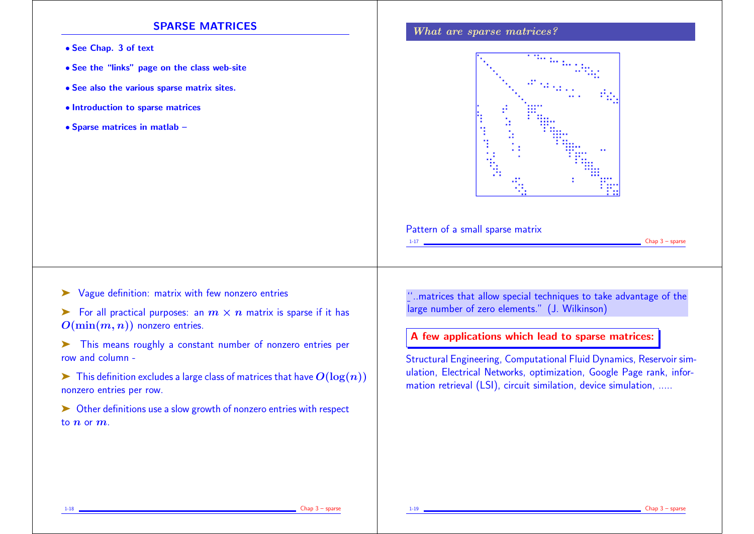#### SPARSE MATRICES

- See Chap. 3 of text
- See the "links" page on the class web-site
- See also the various sparse matrix sites.
- Introduction to sparse matrices
- Sparse matrices in matlab –

#### What are sparse matrices?



Pattern of a small sparse matrix

- ➤ Vague definition: matrix with few nonzero entries
- $\triangleright$  For all practical purposes: an  $m \times n$  matrix is sparse if it has  $O(\min(m, n))$  nonzero entries.
- ➤ This means roughly a constant number of nonzero entries per row and column -
- $\triangleright$  This definition excludes a large class of matrices that have  $O(\log(n))$ nonzero entries per row.
- ➤ Other definitions use a slow growth of nonzero entries with respect to  $n$  or  $m$ .

''..matrices that allow special techniques to take advantage of the large number of zero elements." (J. Wilkinson)

### A few applications which lead to sparse matrices:

Structural Engineering, Computational Fluid Dynamics, Reservoir simulation, Electrical Networks, optimization, Google Page rank, information retrieval (LSI), circuit similation, device simulation, .....

 $Chap 3$  – sparse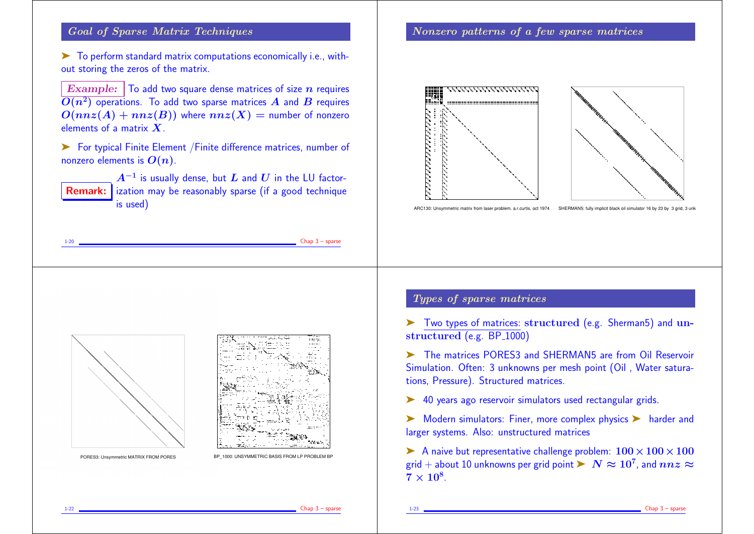## Goal of Sparse Matrix Techniques

➤ To perform standard matrix computations economically i.e., without storing the zeros of the matrix.

Example:  $\vert$  To add two square dense matrices of size  $n$  requires  $\bm{O}(n^2)$  operations. To add two sparse matrices  $\bm{A}$  and  $\bm{B}$  requires  $O(nnz(A) + nnz(B))$  where  $nnz(X) =$  number of nonzero elements of a matrix  $\boldsymbol{X}$ 

➤ For typical Finite Element /Finite difference matrices, number of nonzero elements is  $O(n)$ .

**Remark:** ization may be reasonably sparse (if a good technique  $A^{-1}$  is usually dense, but  $L$  and  $U$  in the LU factoris used)

#### Nonzero patterns of a few sparse matrices





ARC130: Unsymmetric matrix from laser problem. a.r.curtis, oct 1974 SHERMAN5: fully implicit black oil simulator 16 by 23 by 3 grid. 3 unk





PORES3: Unsymmetric MATRIX FROM PORES

BP\_1000: UNSYMMETRIC BASIS FROM LP PROBLEM B

### Types of sparse matrices

➤ Two types of matrices: structured (e.g. Sherman5) and unstructured (e.g.  $BP_1000$ )

➤ The matrices PORES3 and SHERMAN5 are from Oil Reservoir Simulation. Often: 3 unknowns per mesh point (Oil , Water saturations, Pressure). Structured matrices.

➤ 40 years ago reservoir simulators used rectangular grids.

► Modern simulators: Finer, more complex physics ► harder and larger systems. Also: unstructured matrices

A naive but representative challenge problem:  $100 \times 100 \times 100$ grid  $+$  about 10 unknowns per grid point  $\blacktriangleright\;N\approx10^7$ , and  $nnz\approx1$  $7\times10^8$ .

 $Chap 3 - sparse$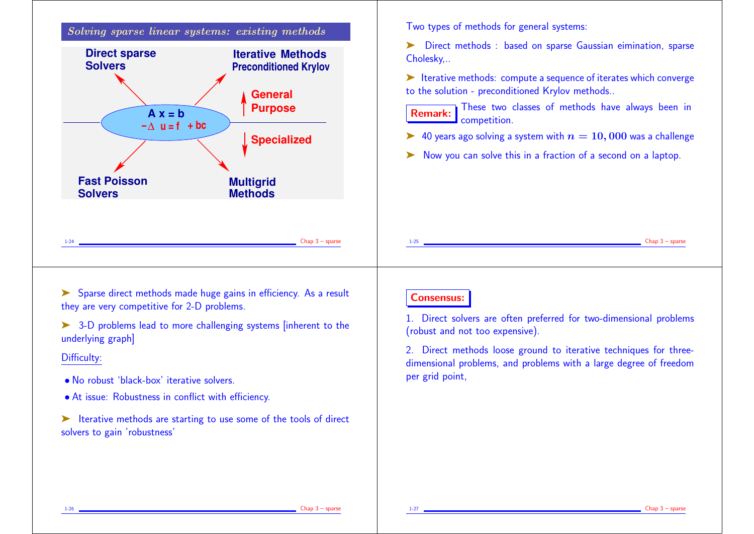

➤ Sparse direct methods made huge gains in efficiency. As a result they are very competitive for 2-D problems.

➤ 3-D problems lead to more challenging systems [inherent to the underlying graph]

#### Difficulty:

- No robust 'black-box' iterative solvers.
- At issue: Robustness in conflict with efficiency.
- ➤ Iterative methods are starting to use some of the tools of direct solvers to gain 'robustness'

# Consensus:

1. Direct solvers are often preferred for two-dimensional problems (robust and not too expensive).

2. Direct methods loose ground to iterative techniques for threedimensional problems, and problems with a large degree of freedom per grid point,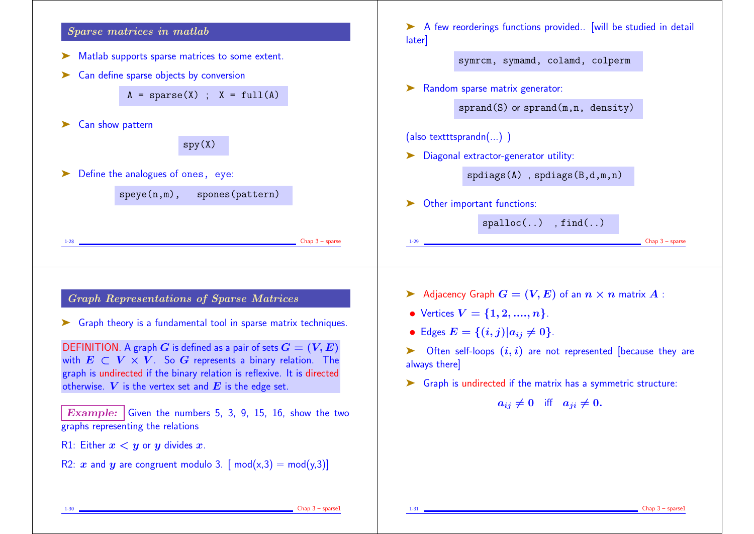

 $Chap 3$  – sparse1